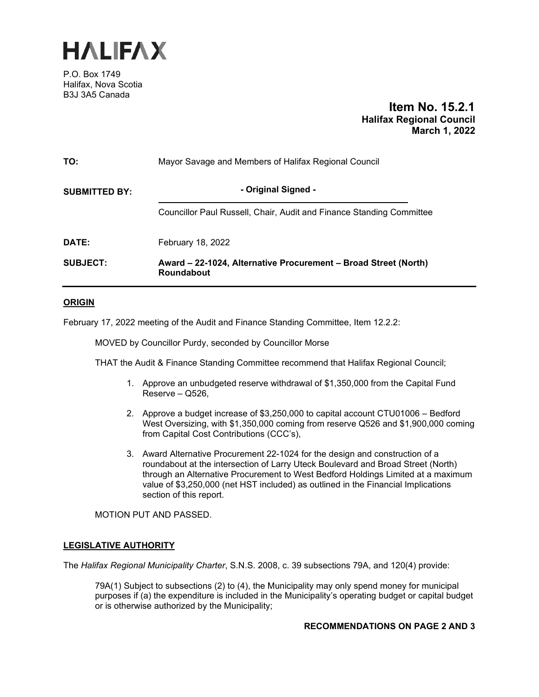

P.O. Box 1749 Halifax, Nova Scotia B3J 3A5 Canada

## **Item No. 15.2.1 Halifax Regional Council March 1, 2022**

| TO:                  | Mayor Savage and Members of Halifax Regional Council                          |  |  |
|----------------------|-------------------------------------------------------------------------------|--|--|
| <b>SUBMITTED BY:</b> | - Original Signed -                                                           |  |  |
|                      | Councillor Paul Russell, Chair, Audit and Finance Standing Committee          |  |  |
| <b>DATE:</b>         | February 18, 2022                                                             |  |  |
| <b>SUBJECT:</b>      | Award – 22-1024, Alternative Procurement – Broad Street (North)<br>Roundabout |  |  |

## **ORIGIN**

February 17, 2022 meeting of the Audit and Finance Standing Committee, Item 12.2.2:

MOVED by Councillor Purdy, seconded by Councillor Morse

THAT the Audit & Finance Standing Committee recommend that Halifax Regional Council;

- 1. Approve an unbudgeted reserve withdrawal of \$1,350,000 from the Capital Fund Reserve – Q526,
- 2. Approve a budget increase of \$3,250,000 to capital account CTU01006 Bedford West Oversizing, with \$1,350,000 coming from reserve Q526 and \$1,900,000 coming from Capital Cost Contributions (CCC's),
- 3. Award Alternative Procurement 22-1024 for the design and construction of a roundabout at the intersection of Larry Uteck Boulevard and Broad Street (North) through an Alternative Procurement to West Bedford Holdings Limited at a maximum value of \$3,250,000 (net HST included) as outlined in the Financial Implications section of this report.

MOTION PUT AND PASSED.

## **LEGISLATIVE AUTHORITY**

The *Halifax Regional Municipality Charter*, S.N.S. 2008, c. 39 subsections 79A, and 120(4) provide:

79A(1) Subject to subsections (2) to (4), the Municipality may only spend money for municipal purposes if (a) the expenditure is included in the Municipality's operating budget or capital budget or is otherwise authorized by the Municipality;

## **RECOMMENDATIONS ON PAGE 2 AND 3**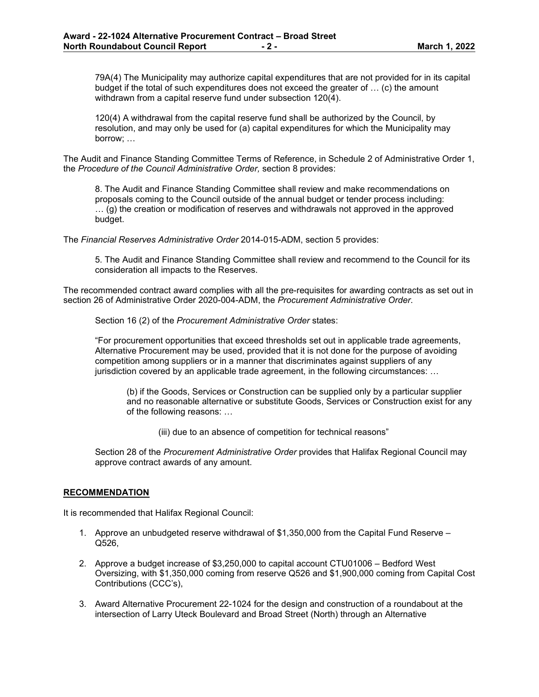79A(4) The Municipality may authorize capital expenditures that are not provided for in its capital budget if the total of such expenditures does not exceed the greater of … (c) the amount withdrawn from a capital reserve fund under subsection 120(4).

120(4) A withdrawal from the capital reserve fund shall be authorized by the Council, by resolution, and may only be used for (a) capital expenditures for which the Municipality may borrow; …

The Audit and Finance Standing Committee Terms of Reference, in Schedule 2 of Administrative Order 1, the *Procedure of the Council Administrative Order,* section 8 provides:

8. The Audit and Finance Standing Committee shall review and make recommendations on proposals coming to the Council outside of the annual budget or tender process including: … (g) the creation or modification of reserves and withdrawals not approved in the approved budget.

The *Financial Reserves Administrative Order* 2014-015-ADM, section 5 provides:

5. The Audit and Finance Standing Committee shall review and recommend to the Council for its consideration all impacts to the Reserves.

The recommended contract award complies with all the pre-requisites for awarding contracts as set out in section 26 of Administrative Order 2020-004-ADM, the *Procurement Administrative Order*.

Section 16 (2) of the *Procurement Administrative Order* states:

"For procurement opportunities that exceed thresholds set out in applicable trade agreements, Alternative Procurement may be used, provided that it is not done for the purpose of avoiding competition among suppliers or in a manner that discriminates against suppliers of any jurisdiction covered by an applicable trade agreement, in the following circumstances: …

(b) if the Goods, Services or Construction can be supplied only by a particular supplier and no reasonable alternative or substitute Goods, Services or Construction exist for any of the following reasons: …

(iii) due to an absence of competition for technical reasons"

Section 28 of the *Procurement Administrative Order* provides that Halifax Regional Council may approve contract awards of any amount.

## **RECOMMENDATION**

It is recommended that Halifax Regional Council:

- 1. Approve an unbudgeted reserve withdrawal of \$1,350,000 from the Capital Fund Reserve Q526,
- 2. Approve a budget increase of \$3,250,000 to capital account CTU01006 Bedford West Oversizing, with \$1,350,000 coming from reserve Q526 and \$1,900,000 coming from Capital Cost Contributions (CCC's),
- 3. Award Alternative Procurement 22-1024 for the design and construction of a roundabout at the intersection of Larry Uteck Boulevard and Broad Street (North) through an Alternative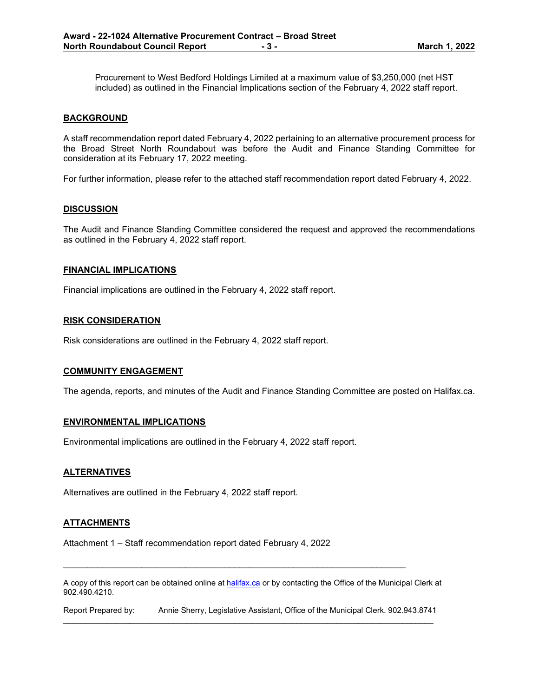Procurement to West Bedford Holdings Limited at a maximum value of \$3,250,000 (net HST included) as outlined in the Financial Implications section of the February 4, 2022 staff report.

#### **BACKGROUND**

A staff recommendation report dated February 4, 2022 pertaining to an alternative procurement process for the Broad Street North Roundabout was before the Audit and Finance Standing Committee for consideration at its February 17, 2022 meeting.

For further information, please refer to the attached staff recommendation report dated February 4, 2022.

#### **DISCUSSION**

The Audit and Finance Standing Committee considered the request and approved the recommendations as outlined in the February 4, 2022 staff report.

#### **FINANCIAL IMPLICATIONS**

Financial implications are outlined in the February 4, 2022 staff report.

#### **RISK CONSIDERATION**

Risk considerations are outlined in the February 4, 2022 staff report.

#### **COMMUNITY ENGAGEMENT**

The agenda, reports, and minutes of the Audit and Finance Standing Committee are posted on Halifax.ca.

## **ENVIRONMENTAL IMPLICATIONS**

Environmental implications are outlined in the February 4, 2022 staff report.

#### **ALTERNATIVES**

Alternatives are outlined in the February 4, 2022 staff report.

## **ATTACHMENTS**

Attachment 1 – Staff recommendation report dated February 4, 2022

A copy of this report can be obtained online a[t halifax.ca](http://www.halifax.ca/) or by contacting the Office of the Municipal Clerk at 902.490.4210.

\_\_\_\_\_\_\_\_\_\_\_\_\_\_\_\_\_\_\_\_\_\_\_\_\_\_\_\_\_\_\_\_\_\_\_\_\_\_\_\_\_\_\_\_\_\_\_\_\_\_\_\_\_\_\_\_\_\_\_\_\_\_\_\_\_\_\_\_\_\_

Report Prepared by: Annie Sherry, Legislative Assistant, Office of the Municipal Clerk. 902.943.8741  $\_$  ,  $\_$  ,  $\_$  ,  $\_$  ,  $\_$  ,  $\_$  ,  $\_$  ,  $\_$  ,  $\_$  ,  $\_$  ,  $\_$  ,  $\_$  ,  $\_$  ,  $\_$  ,  $\_$  ,  $\_$  ,  $\_$  ,  $\_$  ,  $\_$  ,  $\_$  ,  $\_$  ,  $\_$  ,  $\_$  ,  $\_$  ,  $\_$  ,  $\_$  ,  $\_$  ,  $\_$  ,  $\_$  ,  $\_$  ,  $\_$  ,  $\_$  ,  $\_$  ,  $\_$  ,  $\_$  ,  $\_$  ,  $\_$  ,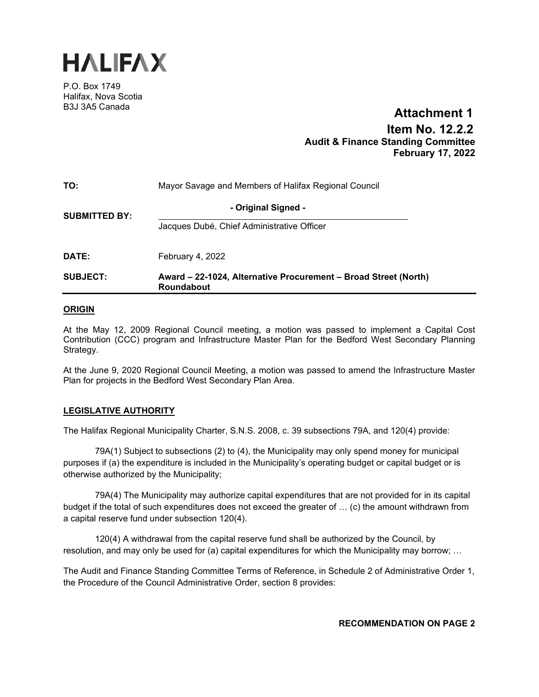

P.O. Box 1749 Halifax, Nova Scotia B3J 3A5 Canada

# **Item No. 12.2.2 Audit & Finance Standing Committee February 17, 2022 Attachment 1**

| TO:                  | Mayor Savage and Members of Halifax Regional Council                                 |  |  |
|----------------------|--------------------------------------------------------------------------------------|--|--|
| <b>SUBMITTED BY:</b> | - Original Signed -                                                                  |  |  |
|                      | Jacques Dubé, Chief Administrative Officer                                           |  |  |
| DATE:                | February 4, 2022                                                                     |  |  |
| <b>SUBJECT:</b>      | Award – 22-1024, Alternative Procurement – Broad Street (North)<br><b>Roundabout</b> |  |  |

## **ORIGIN**

At the May 12, 2009 Regional Council meeting, a motion was passed to implement a Capital Cost Contribution (CCC) program and Infrastructure Master Plan for the Bedford West Secondary Planning Strategy.

At the June 9, 2020 Regional Council Meeting, a motion was passed to amend the Infrastructure Master Plan for projects in the Bedford West Secondary Plan Area.

## **LEGISLATIVE AUTHORITY**

The Halifax Regional Municipality Charter, S.N.S. 2008, c. 39 subsections 79A, and 120(4) provide:

79A(1) Subject to subsections (2) to (4), the Municipality may only spend money for municipal purposes if (a) the expenditure is included in the Municipality's operating budget or capital budget or is otherwise authorized by the Municipality;

79A(4) The Municipality may authorize capital expenditures that are not provided for in its capital budget if the total of such expenditures does not exceed the greater of … (c) the amount withdrawn from a capital reserve fund under subsection 120(4).

120(4) A withdrawal from the capital reserve fund shall be authorized by the Council, by resolution, and may only be used for (a) capital expenditures for which the Municipality may borrow; …

The Audit and Finance Standing Committee Terms of Reference, in Schedule 2 of Administrative Order 1, the Procedure of the Council Administrative Order, section 8 provides:

**RECOMMENDATION ON PAGE 2**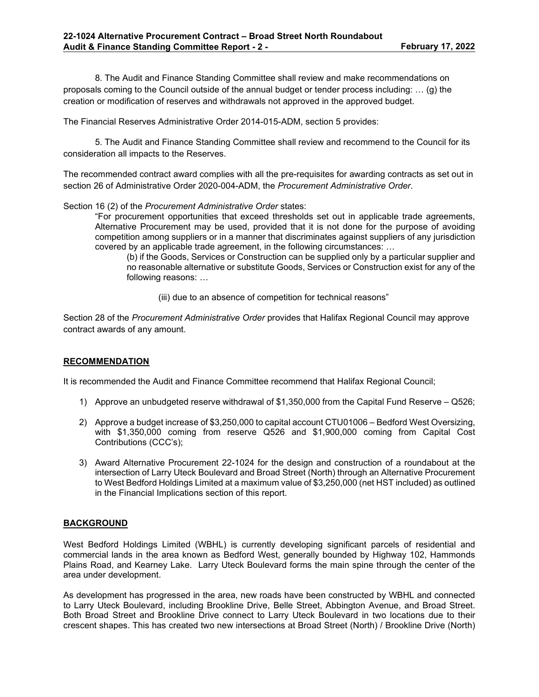8. The Audit and Finance Standing Committee shall review and make recommendations on proposals coming to the Council outside of the annual budget or tender process including: … (g) the creation or modification of reserves and withdrawals not approved in the approved budget.

The Financial Reserves Administrative Order 2014-015-ADM, section 5 provides:

5. The Audit and Finance Standing Committee shall review and recommend to the Council for its consideration all impacts to the Reserves.

The recommended contract award complies with all the pre-requisites for awarding contracts as set out in section 26 of Administrative Order 2020-004-ADM, the *Procurement Administrative Order*.

Section 16 (2) of the *Procurement Administrative Order* states:

"For procurement opportunities that exceed thresholds set out in applicable trade agreements, Alternative Procurement may be used, provided that it is not done for the purpose of avoiding competition among suppliers or in a manner that discriminates against suppliers of any jurisdiction covered by an applicable trade agreement, in the following circumstances: …

(b) if the Goods, Services or Construction can be supplied only by a particular supplier and no reasonable alternative or substitute Goods, Services or Construction exist for any of the following reasons: …

(iii) due to an absence of competition for technical reasons"

Section 28 of the *Procurement Administrative Order* provides that Halifax Regional Council may approve contract awards of any amount.

## **RECOMMENDATION**

It is recommended the Audit and Finance Committee recommend that Halifax Regional Council;

- 1) Approve an unbudgeted reserve withdrawal of \$1,350,000 from the Capital Fund Reserve Q526;
- 2) Approve a budget increase of \$3,250,000 to capital account CTU01006 Bedford West Oversizing, with \$1,350,000 coming from reserve Q526 and \$1,900,000 coming from Capital Cost Contributions (CCC's);
- 3) Award Alternative Procurement 22-1024 for the design and construction of a roundabout at the intersection of Larry Uteck Boulevard and Broad Street (North) through an Alternative Procurement to West Bedford Holdings Limited at a maximum value of \$3,250,000 (net HST included) as outlined in the Financial Implications section of this report.

## **BACKGROUND**

West Bedford Holdings Limited (WBHL) is currently developing significant parcels of residential and commercial lands in the area known as Bedford West, generally bounded by Highway 102, Hammonds Plains Road, and Kearney Lake. Larry Uteck Boulevard forms the main spine through the center of the area under development.

As development has progressed in the area, new roads have been constructed by WBHL and connected to Larry Uteck Boulevard, including Brookline Drive, Belle Street, Abbington Avenue, and Broad Street. Both Broad Street and Brookline Drive connect to Larry Uteck Boulevard in two locations due to their crescent shapes. This has created two new intersections at Broad Street (North) / Brookline Drive (North)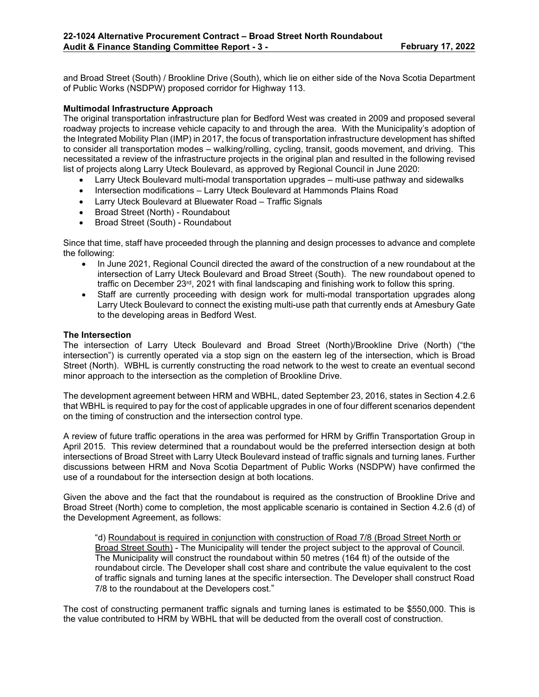and Broad Street (South) / Brookline Drive (South), which lie on either side of the Nova Scotia Department of Public Works (NSDPW) proposed corridor for Highway 113.

## **Multimodal Infrastructure Approach**

The original transportation infrastructure plan for Bedford West was created in 2009 and proposed several roadway projects to increase vehicle capacity to and through the area. With the Municipality's adoption of the Integrated Mobility Plan (IMP) in 2017, the focus of transportation infrastructure development has shifted to consider all transportation modes – walking/rolling, cycling, transit, goods movement, and driving. This necessitated a review of the infrastructure projects in the original plan and resulted in the following revised list of projects along Larry Uteck Boulevard, as approved by Regional Council in June 2020:

- Larry Uteck Boulevard multi-modal transportation upgrades multi-use pathway and sidewalks
- Intersection modifications Larry Uteck Boulevard at Hammonds Plains Road
- Larry Uteck Boulevard at Bluewater Road Traffic Signals
- Broad Street (North) Roundabout
- Broad Street (South) Roundabout

Since that time, staff have proceeded through the planning and design processes to advance and complete the following:

- In June 2021, Regional Council directed the award of the construction of a new roundabout at the intersection of Larry Uteck Boulevard and Broad Street (South). The new roundabout opened to traffic on December 23<sup>rd</sup>, 2021 with final landscaping and finishing work to follow this spring.
- Staff are currently proceeding with design work for multi-modal transportation upgrades along Larry Uteck Boulevard to connect the existing multi-use path that currently ends at Amesbury Gate to the developing areas in Bedford West.

## **The Intersection**

The intersection of Larry Uteck Boulevard and Broad Street (North)/Brookline Drive (North) ("the intersection") is currently operated via a stop sign on the eastern leg of the intersection, which is Broad Street (North). WBHL is currently constructing the road network to the west to create an eventual second minor approach to the intersection as the completion of Brookline Drive.

The development agreement between HRM and WBHL, dated September 23, 2016, states in Section 4.2.6 that WBHL is required to pay for the cost of applicable upgrades in one of four different scenarios dependent on the timing of construction and the intersection control type.

A review of future traffic operations in the area was performed for HRM by Griffin Transportation Group in April 2015. This review determined that a roundabout would be the preferred intersection design at both intersections of Broad Street with Larry Uteck Boulevard instead of traffic signals and turning lanes. Further discussions between HRM and Nova Scotia Department of Public Works (NSDPW) have confirmed the use of a roundabout for the intersection design at both locations.

Given the above and the fact that the roundabout is required as the construction of Brookline Drive and Broad Street (North) come to completion, the most applicable scenario is contained in Section 4.2.6 (d) of the Development Agreement, as follows:

"d) Roundabout is required in conjunction with construction of Road 7/8 (Broad Street North or Broad Street South) - The Municipality will tender the project subject to the approval of Council. The Municipality will construct the roundabout within 50 metres (164 ft) of the outside of the roundabout circle. The Developer shall cost share and contribute the value equivalent to the cost of traffic signals and turning lanes at the specific intersection. The Developer shall construct Road 7/8 to the roundabout at the Developers cost."

The cost of constructing permanent traffic signals and turning lanes is estimated to be \$550,000. This is the value contributed to HRM by WBHL that will be deducted from the overall cost of construction.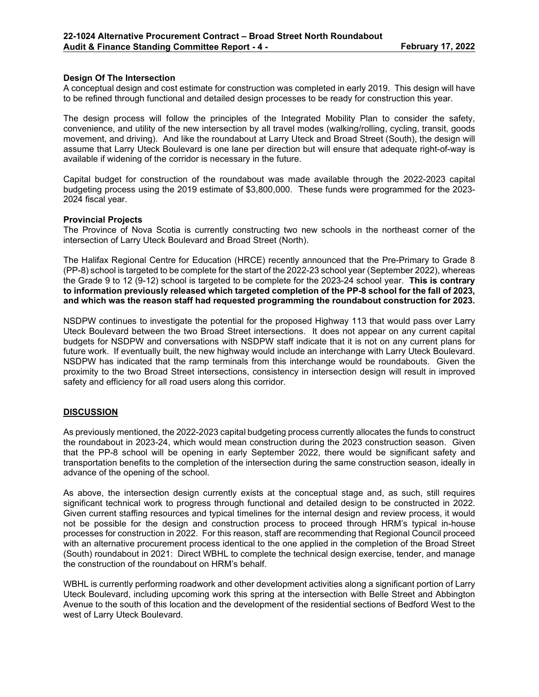## **Design Of The Intersection**

A conceptual design and cost estimate for construction was completed in early 2019. This design will have to be refined through functional and detailed design processes to be ready for construction this year.

The design process will follow the principles of the Integrated Mobility Plan to consider the safety, convenience, and utility of the new intersection by all travel modes (walking/rolling, cycling, transit, goods movement, and driving). And like the roundabout at Larry Uteck and Broad Street (South), the design will assume that Larry Uteck Boulevard is one lane per direction but will ensure that adequate right-of-way is available if widening of the corridor is necessary in the future.

Capital budget for construction of the roundabout was made available through the 2022-2023 capital budgeting process using the 2019 estimate of \$3,800,000. These funds were programmed for the 2023- 2024 fiscal year.

#### **Provincial Projects**

The Province of Nova Scotia is currently constructing two new schools in the northeast corner of the intersection of Larry Uteck Boulevard and Broad Street (North).

The Halifax Regional Centre for Education (HRCE) recently announced that the Pre-Primary to Grade 8 (PP-8) school is targeted to be complete for the start of the 2022-23 school year (September 2022), whereas the Grade 9 to 12 (9-12) school is targeted to be complete for the 2023-24 school year. **This is contrary to information previously released which targeted completion of the PP-8 school for the fall of 2023, and which was the reason staff had requested programming the roundabout construction for 2023.**

NSDPW continues to investigate the potential for the proposed Highway 113 that would pass over Larry Uteck Boulevard between the two Broad Street intersections. It does not appear on any current capital budgets for NSDPW and conversations with NSDPW staff indicate that it is not on any current plans for future work. If eventually built, the new highway would include an interchange with Larry Uteck Boulevard. NSDPW has indicated that the ramp terminals from this interchange would be roundabouts. Given the proximity to the two Broad Street intersections, consistency in intersection design will result in improved safety and efficiency for all road users along this corridor.

## **DISCUSSION**

As previously mentioned, the 2022-2023 capital budgeting process currently allocates the funds to construct the roundabout in 2023-24, which would mean construction during the 2023 construction season. Given that the PP-8 school will be opening in early September 2022, there would be significant safety and transportation benefits to the completion of the intersection during the same construction season, ideally in advance of the opening of the school.

As above, the intersection design currently exists at the conceptual stage and, as such, still requires significant technical work to progress through functional and detailed design to be constructed in 2022. Given current staffing resources and typical timelines for the internal design and review process, it would not be possible for the design and construction process to proceed through HRM's typical in-house processes for construction in 2022. For this reason, staff are recommending that Regional Council proceed with an alternative procurement process identical to the one applied in the completion of the Broad Street (South) roundabout in 2021: Direct WBHL to complete the technical design exercise, tender, and manage the construction of the roundabout on HRM's behalf.

WBHL is currently performing roadwork and other development activities along a significant portion of Larry Uteck Boulevard, including upcoming work this spring at the intersection with Belle Street and Abbington Avenue to the south of this location and the development of the residential sections of Bedford West to the west of Larry Uteck Boulevard.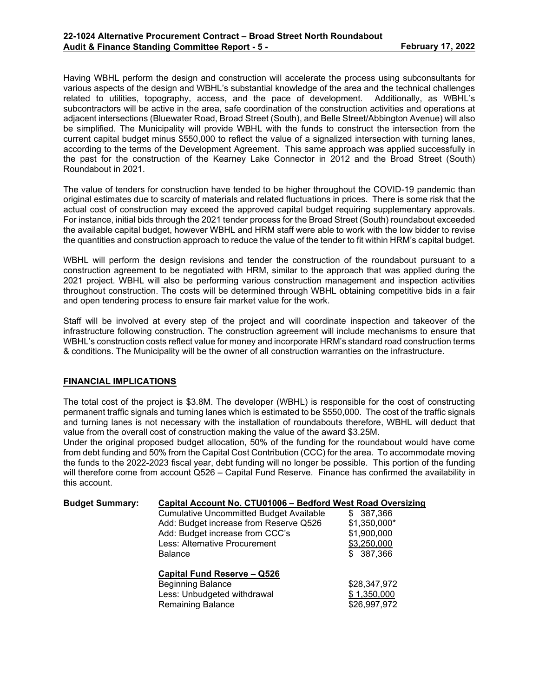Having WBHL perform the design and construction will accelerate the process using subconsultants for various aspects of the design and WBHL's substantial knowledge of the area and the technical challenges related to utilities, topography, access, and the pace of development. Additionally, as WBHL's subcontractors will be active in the area, safe coordination of the construction activities and operations at adjacent intersections (Bluewater Road, Broad Street (South), and Belle Street/Abbington Avenue) will also be simplified. The Municipality will provide WBHL with the funds to construct the intersection from the current capital budget minus \$550,000 to reflect the value of a signalized intersection with turning lanes, according to the terms of the Development Agreement. This same approach was applied successfully in the past for the construction of the Kearney Lake Connector in 2012 and the Broad Street (South) Roundabout in 2021.

The value of tenders for construction have tended to be higher throughout the COVID-19 pandemic than original estimates due to scarcity of materials and related fluctuations in prices. There is some risk that the actual cost of construction may exceed the approved capital budget requiring supplementary approvals. For instance, initial bids through the 2021 tender process for the Broad Street (South) roundabout exceeded the available capital budget, however WBHL and HRM staff were able to work with the low bidder to revise the quantities and construction approach to reduce the value of the tender to fit within HRM's capital budget.

WBHL will perform the design revisions and tender the construction of the roundabout pursuant to a construction agreement to be negotiated with HRM, similar to the approach that was applied during the 2021 project. WBHL will also be performing various construction management and inspection activities throughout construction. The costs will be determined through WBHL obtaining competitive bids in a fair and open tendering process to ensure fair market value for the work.

Staff will be involved at every step of the project and will coordinate inspection and takeover of the infrastructure following construction. The construction agreement will include mechanisms to ensure that WBHL's construction costs reflect value for money and incorporate HRM's standard road construction terms & conditions. The Municipality will be the owner of all construction warranties on the infrastructure.

## **FINANCIAL IMPLICATIONS**

The total cost of the project is \$3.8M. The developer (WBHL) is responsible for the cost of constructing permanent traffic signals and turning lanes which is estimated to be \$550,000. The cost of the traffic signals and turning lanes is not necessary with the installation of roundabouts therefore, WBHL will deduct that value from the overall cost of construction making the value of the award \$3.25M.

Under the original proposed budget allocation, 50% of the funding for the roundabout would have come from debt funding and 50% from the Capital Cost Contribution (CCC) for the area. To accommodate moving the funds to the 2022-2023 fiscal year, debt funding will no longer be possible. This portion of the funding will therefore come from account Q526 – Capital Fund Reserve. Finance has confirmed the availability in this account.

| <b>Budget Summary:</b> | Capital Account No. CTU01006 - Bedford West Road Oversizing |               |  |  |
|------------------------|-------------------------------------------------------------|---------------|--|--|
|                        | <b>Cumulative Uncommitted Budget Available</b>              | \$ 387,366    |  |  |
|                        | Add: Budget increase from Reserve Q526                      | $$1,350,000*$ |  |  |
|                        | Add: Budget increase from CCC's                             | \$1,900,000   |  |  |
|                        | Less: Alternative Procurement                               | \$3,250,000   |  |  |
|                        | <b>Balance</b>                                              | \$387,366     |  |  |
|                        | Capital Fund Reserve - Q526                                 |               |  |  |
|                        | <b>Beginning Balance</b>                                    | \$28,347,972  |  |  |
|                        | Less: Unbudgeted withdrawal                                 | \$1,350,000   |  |  |
|                        | <b>Remaining Balance</b>                                    | \$26,997,972  |  |  |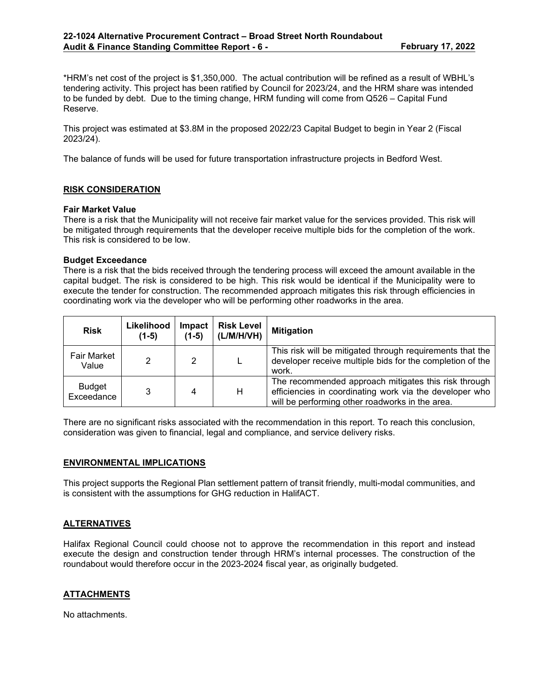\*HRM's net cost of the project is \$1,350,000. The actual contribution will be refined as a result of WBHL's tendering activity. This project has been ratified by Council for 2023/24, and the HRM share was intended to be funded by debt. Due to the timing change, HRM funding will come from Q526 – Capital Fund Reserve.

This project was estimated at \$3.8M in the proposed 2022/23 Capital Budget to begin in Year 2 (Fiscal 2023/24).

The balance of funds will be used for future transportation infrastructure projects in Bedford West.

## **RISK CONSIDERATION**

#### **Fair Market Value**

There is a risk that the Municipality will not receive fair market value for the services provided. This risk will be mitigated through requirements that the developer receive multiple bids for the completion of the work. This risk is considered to be low.

#### **Budget Exceedance**

There is a risk that the bids received through the tendering process will exceed the amount available in the capital budget. The risk is considered to be high. This risk would be identical if the Municipality were to execute the tender for construction. The recommended approach mitigates this risk through efficiencies in coordinating work via the developer who will be performing other roadworks in the area.

| <b>Risk</b>                 | Likelihood<br>$(1-5)$ | <b>Impact</b><br>$(1-5)$ | <b>Risk Level</b><br>(L/M/H/VH)                                                                                                                                         | <b>Mitigation</b>                                                                                                               |
|-----------------------------|-----------------------|--------------------------|-------------------------------------------------------------------------------------------------------------------------------------------------------------------------|---------------------------------------------------------------------------------------------------------------------------------|
| <b>Fair Market</b><br>Value | 2                     | 2                        |                                                                                                                                                                         | This risk will be mitigated through requirements that the<br>developer receive multiple bids for the completion of the<br>work. |
| <b>Budget</b><br>Exceedance | 3                     | 4                        | The recommended approach mitigates this risk through<br>efficiencies in coordinating work via the developer who<br>Н<br>will be performing other roadworks in the area. |                                                                                                                                 |

There are no significant risks associated with the recommendation in this report. To reach this conclusion, consideration was given to financial, legal and compliance, and service delivery risks.

#### **ENVIRONMENTAL IMPLICATIONS**

This project supports the Regional Plan settlement pattern of transit friendly, multi-modal communities, and is consistent with the assumptions for GHG reduction in HalifACT.

## **ALTERNATIVES**

Halifax Regional Council could choose not to approve the recommendation in this report and instead execute the design and construction tender through HRM's internal processes. The construction of the roundabout would therefore occur in the 2023-2024 fiscal year, as originally budgeted.

## **ATTACHMENTS**

No attachments.